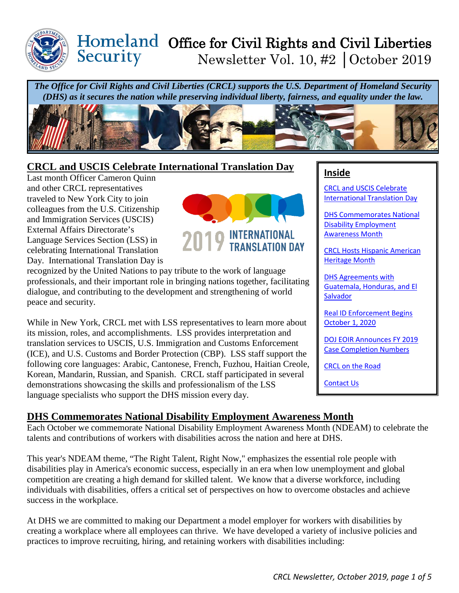<span id="page-0-0"></span>

# Office for Civil Rights and Civil Liberties Newsletter Vol. 10, #2 │October 2019

*The Office for Civil Rights and Civil Liberties (CRCL) supports the U.S. Department of Homeland Security (DHS) as it secures the nation while preserving individual liberty, fairness, and equality under the law.*



# **CRCL and USCIS Celebrate International Translation Day**

Last month Officer Cameron Quinn and other CRCL representatives traveled to New York City to join colleagues from the U.S. Citizenship and Immigration Services (USCIS) External Affairs Directorate's Language Services Section (LSS) in celebrating International Translation Day. International Translation Day is



recognized by the United Nations to pay tribute to the work of language professionals, and their important role in bringing nations together, facilitating dialogue, and contributing to the development and strengthening of world peace and security.

While in New York, CRCL met with LSS representatives to learn more about its mission, roles, and accomplishments. LSS provides interpretation and translation services to USCIS, U.S. Immigration and Customs Enforcement (ICE), and U.S. Customs and Border Protection (CBP). LSS staff support the following core languages: Arabic, Cantonese, French, Fuzhou, Haitian Creole, Korean, Mandarin, Russian, and Spanish. CRCL staff participated in several demonstrations showcasing the skills and professionalism of the LSS language specialists who support the DHS mission every day.

## **Inside**

[CRCL and USCIS Celebrate](#page-0-0)  [International Translation Day](#page-0-0) 

[DHS Commemorates National](#page-0-1)  [Disability Employment](#page-0-1)  [Awareness Month](#page-0-1) 

[CRCL Hosts Hispanic American](#page-1-0)  [Heritage Month](#page-1-0) 

[DHS Agreements with](#page-2-0)  [Guatemala, Honduras, and El](#page-2-0)  **Salvador** 

[Real ID Enforcement Begins](#page-2-1)  [October 1, 2020](#page-2-1)

[DOJ EOIR Announces FY 2019](#page-3-0)  [Case Completion Numbers](#page-3-0)

[CRCL on the Road](#page-4-0)

[Contact Us](#page-4-1)

# <span id="page-0-1"></span>**DHS Commemorates National Disability Employment Awareness Month**

Each October we commemorate National Disability Employment Awareness Month (NDEAM) to celebrate the talents and contributions of workers with disabilities across the nation and here at DHS.

This year's NDEAM theme, "The Right Talent, Right Now," emphasizes the essential role people with disabilities play in America's economic success, especially in an era when low unemployment and global competition are creating a high demand for skilled talent. We know that a diverse workforce, including individuals with disabilities, offers a critical set of perspectives on how to overcome obstacles and achieve success in the workplace.

At DHS we are committed to making our Department a model employer for workers with disabilities by creating a workplace where all employees can thrive. We have developed a variety of inclusive policies and practices to improve recruiting, hiring, and retaining workers with disabilities including: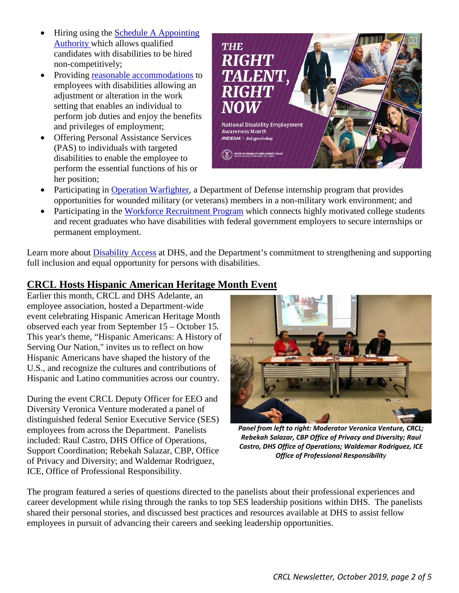- Hiring using the [Schedule A Appointing](https://www.dol.gov/odep/pubs/scheduleA/abc_hiring_mngr_ODEP_508%20compliant.pdf)  [Authority w](https://www.dol.gov/odep/pubs/scheduleA/abc_hiring_mngr_ODEP_508%20compliant.pdf)hich allows qualified candidates with disabilities to be hired non-competitively;
- Providing [reasonable accommodations](https://www.dhs.gov/reasonable-accommodations-dhs) to employees with disabilities allowing an adjustment or alteration in the work setting that enables an individual to perform job duties and enjoy the benefits and privileges of employment;
- Offering Personal Assistance Services (PAS) to individuals with targeted disabilities to enable the employee to perform the essential functions of his or her position;



- Participating in [Operation Warfighter,](https://www.dhs.gov/homeland-security-careers/operation-warfighter) a Department of Defense internship program that provides opportunities for wounded military (or veterans) members in a non-military work environment; and
- Participating in the [Workforce Recruitment Program](https://www.wrp.gov/wrp) which connects highly motivated college students and recent graduates who have disabilities with federal government employers to secure internships or permanent employment.

Learn more about [Disability Access](https://www.dhs.gov/disability-access-department-homeland-security) at DHS, and the Department's commitment to strengthening and supporting full inclusion and equal opportunity for persons with disabilities.

## <span id="page-1-0"></span>**CRCL Hosts Hispanic American Heritage Month Event**

Earlier this month, CRCL and DHS Adelante, an employee association, hosted a Department-wide event celebrating Hispanic American Heritage Month observed each year from September 15 – October 15. This year's theme, "Hispanic Americans: A History of Serving Our Nation," invites us to reflect on how Hispanic Americans have shaped the history of the U.S., and recognize the cultures and contributions of Hispanic and Latino communities across our country.

During the event CRCL Deputy Officer for EEO and Diversity Veronica Venture moderated a panel of distinguished federal Senior Executive Service (SES) employees from across the Department. Panelists included: Raul Castro, DHS Office of Operations, Support Coordination; Rebekah Salazar, CBP, Office of Privacy and Diversity; and Waldemar Rodriguez, ICE, Office of Professional Responsibility.



*Panel from left to right: Moderator Veronica Venture, CRCL; Rebekah Salazar, CBP Office of Privacy and Diversity; Raul Castro, DHS Office of Operations; Waldemar Rodriguez, ICE Office of Professional Responsibility*

The program featured a series of questions directed to the panelists about their professional experiences and career development while rising through the ranks to top SES leadership positions within DHS. The panelists shared their personal stories, and discussed best practices and resources available at DHS to assist fellow employees in pursuit of advancing their careers and seeking leadership opportunities.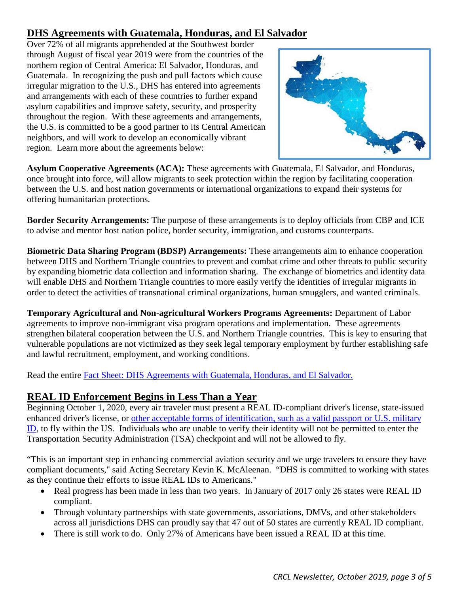## <span id="page-2-0"></span>**DHS Agreements with Guatemala, Honduras, and El Salvador**

Over 72% of all migrants apprehended at the Southwest border through August of fiscal year 2019 were from the countries of the northern region of Central America: El Salvador, Honduras, and Guatemala. In recognizing the push and pull factors which cause irregular migration to the U.S., DHS has entered into agreements and arrangements with each of these countries to further expand asylum capabilities and improve safety, security, and prosperity throughout the region. With these agreements and arrangements, the U.S. is committed to be a good partner to its Central American neighbors, and will work to develop an economically vibrant region. Learn more about the agreements below:



**Asylum Cooperative Agreements (ACA):** These agreements with Guatemala, El Salvador, and Honduras, once brought into force, will allow migrants to seek protection within the region by facilitating cooperation between the U.S. and host nation governments or international organizations to expand their systems for offering humanitarian protections.

**Border Security Arrangements:** The purpose of these arrangements is to deploy officials from CBP and ICE to advise and mentor host nation police, border security, immigration, and customs counterparts.

**Biometric Data Sharing Program (BDSP) Arrangements:** These arrangements aim to enhance cooperation between DHS and Northern Triangle countries to prevent and combat crime and other threats to public security by expanding biometric data collection and information sharing. The exchange of biometrics and identity data will enable DHS and Northern Triangle countries to more easily verify the identities of irregular migrants in order to detect the activities of transnational criminal organizations, human smugglers, and wanted criminals.

**Temporary Agricultural and Non-agricultural Workers Programs Agreements:** Department of Labor agreements to improve non-immigrant visa program operations and implementation. These agreements strengthen bilateral cooperation between the U.S. and Northern Triangle countries. This is key to ensuring that vulnerable populations are not victimized as they seek legal temporary employment by further establishing safe and lawful recruitment, employment, and working conditions.

Read the entire [Fact Sheet: DHS Agreements with Guatemala, Honduras, and El Salvador.](https://www.dhs.gov/sites/default/files/publications/fact_sheet_-_agreements_with_northern_region_of_central_america_countries.pdf) 

## <span id="page-2-1"></span>**REAL ID Enforcement Begins in Less Than a Year**

Beginning October 1, 2020, every air traveler must present a REAL ID-compliant driver's license, state-issued enhanced driver's license, or [other acceptable forms of identification, such as a valid passport or U.S. military](https://www.tsa.gov/travel/security-screening/identification)  [ID,](https://www.tsa.gov/travel/security-screening/identification) to fly within the US. Individuals who are unable to verify their identity will not be permitted to enter the Transportation Security Administration (TSA) checkpoint and will not be allowed to fly.

"This is an important step in enhancing commercial aviation security and we urge travelers to ensure they have compliant documents," said Acting Secretary Kevin K. McAleenan. "DHS is committed to working with states as they continue their efforts to issue REAL IDs to Americans."

- Real progress has been made in less than two years. In January of 2017 only 26 states were REAL ID compliant.
- Through voluntary partnerships with state governments, associations, DMVs, and other stakeholders across all jurisdictions DHS can proudly say that 47 out of 50 states are currently REAL ID compliant.
- There is still work to do. Only 27% of Americans have been issued a REAL ID at this time.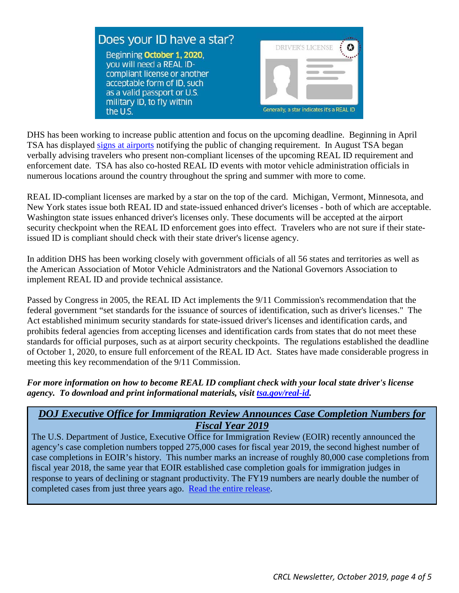

DHS has been working to increase public attention and focus on the upcoming deadline. Beginning in April TSA has displayed [signs at airports](https://www.tsa.gov/sites/default/files/realid_sign.pdf) notifying the public of changing requirement. In August TSA began verbally advising travelers who present non-compliant licenses of the upcoming REAL ID requirement and enforcement date. TSA has also co-hosted REAL ID events with motor vehicle administration officials in numerous locations around the country throughout the spring and summer with more to come.

REAL ID-compliant licenses are marked by a star on the top of the card. Michigan, Vermont, Minnesota, and New York states issue both REAL ID and state-issued enhanced driver's licenses - both of which are acceptable. Washington state issues enhanced driver's licenses only. These documents will be accepted at the airport security checkpoint when the REAL ID enforcement goes into effect. Travelers who are not sure if their stateissued ID is compliant should check with their state driver's license agency.

In addition DHS has been working closely with government officials of all 56 states and territories as well as the American Association of Motor Vehicle Administrators and the National Governors Association to implement REAL ID and provide technical assistance.

Passed by Congress in 2005, the REAL ID Act implements the 9/11 Commission's recommendation that the federal government "set standards for the issuance of sources of identification, such as driver's licenses." The Act established minimum security standards for state-issued driver's licenses and identification cards, and prohibits federal agencies from accepting licenses and identification cards from states that do not meet these standards for official purposes, such as at airport security checkpoints. The regulations established the deadline of October 1, 2020, to ensure full enforcement of the REAL ID Act. States have made considerable progress in meeting this key recommendation of the 9/11 Commission.

#### *For more information on how to become REAL ID compliant check with your local state driver's license agency. To download and print informational materials, visit [tsa.gov/real-id.](https://www.tsa.gov/real-id)*

## <span id="page-3-0"></span>*DOJ Executive Office for Immigration Review Announces Case Completion Numbers for Fiscal Year 2019*

The U.S. Department of Justice, Executive Office for Immigration Review (EOIR) recently announced the agency's case completion numbers topped 275,000 cases for fiscal year 2019, the second highest number of case completions in EOIR's history. This number marks an increase of roughly 80,000 case completions from fiscal year 2018, the same year that EOIR established case completion goals for immigration judges in response to years of declining or stagnant productivity. The FY19 numbers are nearly double the number of completed cases from just three years ago. [Read the entire release.](https://www.justice.gov/opa/pr/executive-office-immigration-review-announces-case-completion-numbers-fiscal-year-2019)